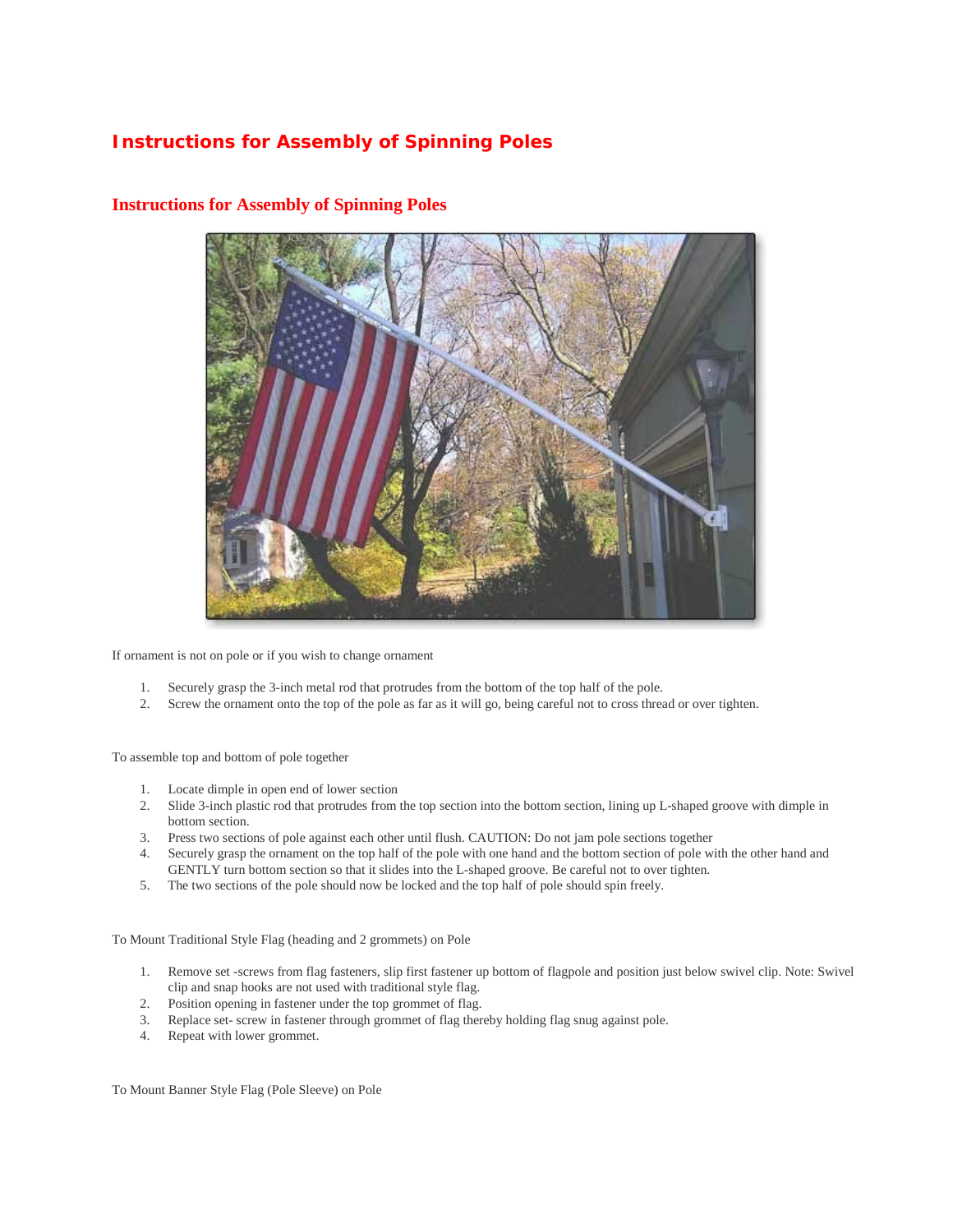## **Instructions for Assembly of Spinning Poles**



## **Instructions for Assembly of Spinning Poles**

If ornament is not on pole or if you wish to change ornament

- 1. Securely grasp the 3-inch metal rod that protrudes from the bottom of the top half of the pole.
- 2. Screw the ornament onto the top of the pole as far as it will go, being careful not to cross thread or over tighten.

To assemble top and bottom of pole together

- 1. Locate dimple in open end of lower section
- 2. Slide 3-inch plastic rod that protrudes from the top section into the bottom section, lining up L-shaped groove with dimple in bottom section.
- 3. Press two sections of pole against each other until flush. CAUTION: Do not jam pole sections together
- 4. Securely grasp the ornament on the top half of the pole with one hand and the bottom section of pole with the other hand and GENTLY turn bottom section so that it slides into the L-shaped groove. Be careful not to over tighten.
- 5. The two sections of the pole should now be locked and the top half of pole should spin freely.

To Mount Traditional Style Flag (heading and 2 grommets) on Pole

- 1. Remove set -screws from flag fasteners, slip first fastener up bottom of flagpole and position just below swivel clip. Note: Swivel clip and snap hooks are not used with traditional style flag.
- 2. Position opening in fastener under the top grommet of flag.
- 3. Replace set- screw in fastener through grommet of flag thereby holding flag snug against pole.
- 4. Repeat with lower grommet.

To Mount Banner Style Flag (Pole Sleeve) on Pole